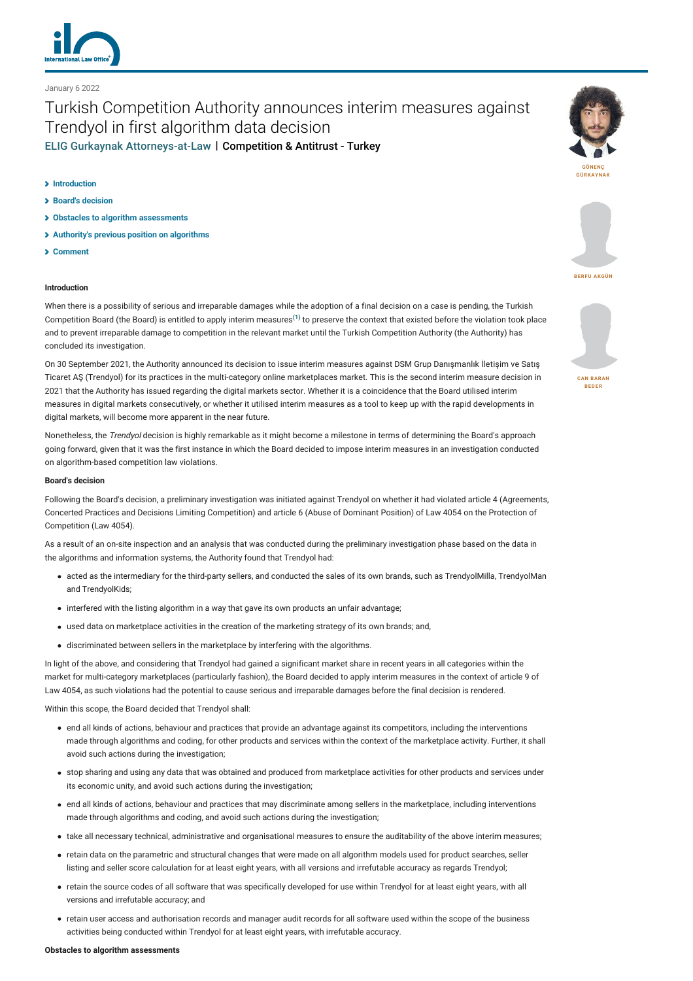

January 6 2022

# Turkish Competition Authority announces interim measures against Trendyol in first algorithm data decision [ELIG Gurkaynak Attorneys-at-Law](https://www.lexology.com/contributors/25827) | Competition & Antitrust - Turkey

#### **[Introduction](#page-0-0)**

- **[Board's decision](#page-0-1)**
- **[Obstacles to algorithm assessments](#page-0-2)**
- **[Authority's previous position on algorithms](#page-1-0)**
- **[Comment](#page-1-1)**

# <span id="page-0-0"></span>**Introduction**

When there is a possibility of serious and irreparable damages while the adoption of a final decision on a case is pending, the Turkish Competition Board (the Board) is entitled to apply interim measures<sup>[\(1\)](https://www.lexology.com/commentary/competition-antitrust/ece43d1c-08fd-42f4-adb9-ada2c7b05c39?preview=40b042d2-a340-4500-80e9-541dc0ed1d48#1)</sup> to preserve the context that existed before the violation took place and to prevent irreparable damage to competition in the relevant market until the Turkish Competition Authority (the Authority) has concluded its investigation.

On 30 September 2021, the Authority announced its decision to issue interim measures against DSM Grup Danışmanlık İletişim ve Satış Ticaret AŞ (Trendyol) for its practices in the multi-category online marketplaces market. This is the second interim measure decision in 2021 that the Authority has issued regarding the digital markets sector. Whether it is a coincidence that the Board utilised interim measures in digital markets consecutively, or whether it utilised interim measures as a tool to keep up with the rapid developments in digital markets, will become more apparent in the near future.

Nonetheless, the *Trendyol* decision is highly remarkable as it might become a milestone in terms of determining the Board's approach going forward, given that it was the first instance in which the Board decided to impose interim measures in an investigation conducted on algorithm-based competition law violations.

### <span id="page-0-1"></span>**Board's decision**

Following the Board's decision, a preliminary investigation was initiated against Trendyol on whether it had violated article 4 (Agreements, Concerted Practices and Decisions Limiting Competition) and article 6 (Abuse of Dominant Position) of Law 4054 on the Protection of Competition (Law 4054).

As a result of an on-site inspection and an analysis that was conducted during the preliminary investigation phase based on the data in the algorithms and information systems, the Authority found that Trendyol had:

- acted as the intermediary for the third-party sellers, and conducted the sales of its own brands, such as TrendyolMilla, TrendyolMan and TrendyolKids;
- interfered with the listing algorithm in a way that gave its own products an unfair advantage;
- used data on marketplace activities in the creation of the marketing strategy of its own brands; and,
- discriminated between sellers in the marketplace by interfering with the algorithms.

In light of the above, and considering that Trendyol had gained a significant market share in recent years in all categories within the market for multi-category marketplaces (particularly fashion), the Board decided to apply interim measures in the context of article 9 of Law 4054, as such violations had the potential to cause serious and irreparable damages before the final decision is rendered.

Within this scope, the Board decided that Trendyol shall:

- end all kinds of actions, behaviour and practices that provide an advantage against its competitors, including the interventions made through algorithms and coding, for other products and services within the context of the marketplace activity. Further, it shall avoid such actions during the investigation;
- stop sharing and using any data that was obtained and produced from marketplace activities for other products and services under its economic unity, and avoid such actions during the investigation;
- end all kinds of actions, behaviour and practices that may discriminate among sellers in the marketplace, including interventions made through algorithms and coding, and avoid such actions during the investigation;
- take all necessary technical, administrative and organisational measures to ensure the auditability of the above interim measures;
- retain data on the parametric and structural changes that were made on all algorithm models used for product searches, seller listing and seller score calculation for at least eight years, with all versions and irrefutable accuracy as regards Trendyol;
- retain the source codes of all software that was specifically developed for use within Trendyol for at least eight years, with all versions and irrefutable accuracy; and
- <span id="page-0-2"></span>retain user access and authorisation records and manager audit records for all software used within the scope of the business activities being conducted within Trendyol for at least eight years, with irrefutable accuracy.





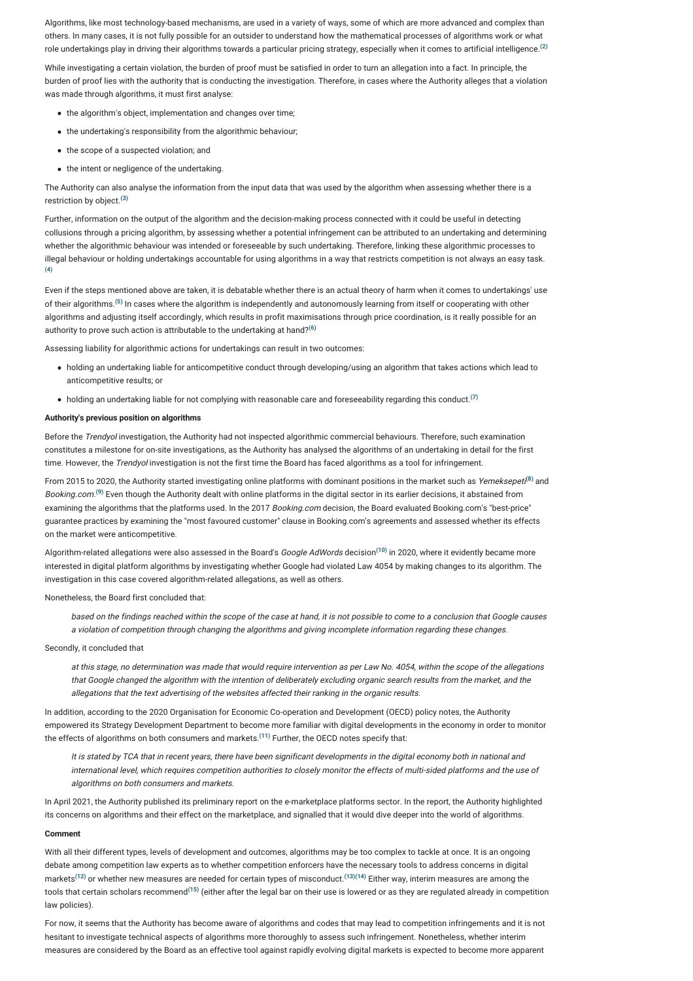Algorithms, like most technology-based mechanisms, are used in a variety of ways, some of which are more advanced and complex than others. In many cases, it is not fully possible for an outsider to understand how the mathematical processes of algorithms work or what role undertakings play in driving their algorithms towards a particular pricing strategy, especially when it comes to artificial intelligence. **[\(2\)](https://www.lexology.com/commentary/competition-antitrust/ece43d1c-08fd-42f4-adb9-ada2c7b05c39?preview=40b042d2-a340-4500-80e9-541dc0ed1d48#2)**

While investigating a certain violation, the burden of proof must be satisfied in order to turn an allegation into a fact. In principle, the burden of proof lies with the authority that is conducting the investigation. Therefore, in cases where the Authority alleges that a violation was made through algorithms, it must first analyse:

- the algorithm's object, implementation and changes over time;
- the undertaking's responsibility from the algorithmic behaviour;
- the scope of a suspected violation: and
- the intent or negligence of the undertaking.

The Authority can also analyse the information from the input data that was used by the algorithm when assessing whether there is a restriction by object. **[\(3\)](https://www.lexology.com/commentary/competition-antitrust/ece43d1c-08fd-42f4-adb9-ada2c7b05c39?preview=40b042d2-a340-4500-80e9-541dc0ed1d48#3)**

Further, information on the output of the algorithm and the decision-making process connected with it could be useful in detecting collusions through a pricing algorithm, by assessing whether a potential infringement can be attributed to an undertaking and determining whether the algorithmic behaviour was intended or foreseeable by such undertaking. Therefore, linking these algorithmic processes to illegal behaviour or holding undertakings accountable for using algorithms in a way that restricts competition is not always an easy task. **[\(4\)](https://www.lexology.com/commentary/competition-antitrust/ece43d1c-08fd-42f4-adb9-ada2c7b05c39?preview=40b042d2-a340-4500-80e9-541dc0ed1d48#4)**

Even if the steps mentioned above are taken, it is debatable whether there is an actual theory of harm when it comes to undertakings' use of their algorithms.<sup>[\(5\)](https://www.lexology.com/commentary/competition-antitrust/ece43d1c-08fd-42f4-adb9-ada2c7b05c39?preview=40b042d2-a340-4500-80e9-541dc0ed1d48#5)</sup> In cases where the algorithm is independently and autonomously learning from itself or cooperating with other algorithms and adjusting itself accordingly, which results in profit maximisations through price coordination, is it really possible for an authority to prove such action is attributable to the undertaking at hand? **[\(6\)](https://www.lexology.com/commentary/competition-antitrust/ece43d1c-08fd-42f4-adb9-ada2c7b05c39?preview=40b042d2-a340-4500-80e9-541dc0ed1d48#6)**

Assessing liability for algorithmic actions for undertakings can result in two outcomes:

- holding an undertaking liable for anticompetitive conduct through developing/using an algorithm that takes actions which lead to anticompetitive results; or
- holding an undertaking liable for not complying with reasonable care and foreseeability regarding this conduct. **[\(7\)](https://www.lexology.com/commentary/competition-antitrust/ece43d1c-08fd-42f4-adb9-ada2c7b05c39?preview=40b042d2-a340-4500-80e9-541dc0ed1d48#7)**

# <span id="page-1-0"></span>**Authority's previous position on algorithms**

Before the Trendyol investigation, the Authority had not inspected algorithmic commercial behaviours. Therefore, such examination constitutes a milestone for on-site investigations, as the Authority has analysed the algorithms of an undertaking in detail for the first time. However, the Trendyol investigation is not the first time the Board has faced algorithms as a tool for infringement.

From 2015 to 2020, the Authority started investigating online platforms with dominant positions in the market such as *Yemeksepeti*.<sup>8)</sup> and Booking.com.<sup>[\(9\)](https://www.lexology.com/commentary/competition-antitrust/ece43d1c-08fd-42f4-adb9-ada2c7b05c39?preview=40b042d2-a340-4500-80e9-541dc0ed1d48#9)</sup> Even though the Authority dealt with online platforms in the digital sector in its earlier decisions, it abstained from examining the algorithms that the platforms used. In the 2017 Booking.com decision, the Board evaluated Booking.com's "best-price" guarantee practices by examining the "most favoured customer" clause in Booking.com's agreements and assessed whether its effects on the market were anticompetitive.

Algorithm-related allegations were also assessed in the Board's *Google AdWords* decision<sup>[\(10\)](https://www.lexology.com/commentary/competition-antitrust/ece43d1c-08fd-42f4-adb9-ada2c7b05c39?preview=40b042d2-a340-4500-80e9-541dc0ed1d48#10)</sup> in 2020, where it evidently became more interested in digital platform algorithms by investigating whether Google had violated Law 4054 by making changes to its algorithm. The investigation in this case covered algorithm-related allegations, as well as others.

Nonetheless, the Board first concluded that:

based on the findings reached within the scope of the case at hand, it is not possible to come to a conclusion that Google causes a violation of competition through changing the algorithms and giving incomplete information regarding these changes.

#### Secondly, it concluded that

at this stage, no determination was made that would require intervention as per Law No. 4054, within the scope of the allegations that Google changed the algorithm with the intention of deliberately excluding organic search results from the market, and the allegations that the text advertising of the websites affected their ranking in the organic results.

In addition, according to the 2020 Organisation for Economic Co-operation and Development (OECD) policy notes, the Authority empowered its Strategy Development Department to become more familiar with digital developments in the economy in order to monitor the effects of algorithms on both consumers and markets.<sup>[\(11\)](https://www.lexology.com/commentary/competition-antitrust/ece43d1c-08fd-42f4-adb9-ada2c7b05c39?preview=40b042d2-a340-4500-80e9-541dc0ed1d48#11)</sup> Further, the OECD notes specify that:

It is stated by TCA that in recent years, there have been significant developments in the digital economy both in national and international level, which requires competition authorities to closely monitor the effects of multi-sided platforms and the use of algorithms on both consumers and markets.

In April 2021, the Authority published its preliminary report on the e-marketplace platforms sector. In the report, the Authority highlighted its concerns on algorithms and their effect on the marketplace, and signalled that it would dive deeper into the world of algorithms.

#### <span id="page-1-1"></span>**Comment**

With all their different types, levels of development and outcomes, algorithms may be too complex to tackle at once. It is an ongoing debate among competition law experts as to whether competition enforcers have the necessary tools to address concerns in digital markets<sup>[\(12\)](https://www.lexology.com/commentary/competition-antitrust/ece43d1c-08fd-42f4-adb9-ada2c7b05c39?preview=40b042d2-a340-4500-80e9-541dc0ed1d48#12)</sup> or whether new measures are needed for certain types of misconduct.<sup>[\(13\)](https://www.lexology.com/commentary/competition-antitrust/ece43d1c-08fd-42f4-adb9-ada2c7b05c39?preview=40b042d2-a340-4500-80e9-541dc0ed1d48#13)[\(14\)](https://www.lexology.com/commentary/competition-antitrust/ece43d1c-08fd-42f4-adb9-ada2c7b05c39?preview=40b042d2-a340-4500-80e9-541dc0ed1d48#14)</sup> Either way, interim measures are among the tools that certain scholars recommend<sup>[\(15\)](https://www.lexology.com/commentary/competition-antitrust/ece43d1c-08fd-42f4-adb9-ada2c7b05c39?preview=40b042d2-a340-4500-80e9-541dc0ed1d48#15)</sup> (either after the legal bar on their use is lowered or as they are regulated already in competition law policies).

For now, it seems that the Authority has become aware of algorithms and codes that may lead to competition infringements and it is not hesitant to investigate technical aspects of algorithms more thoroughly to assess such infringement. Nonetheless, whether interim measures are considered by the Board as an effective tool against rapidly evolving digital markets is expected to become more apparent